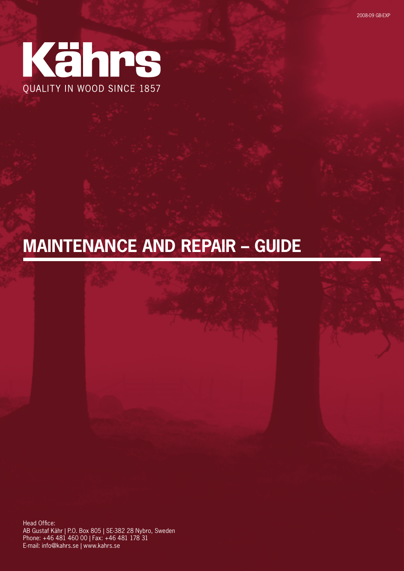

# **Maintenance and Repair – Guide**

Head Office: AB Gustaf Kähr | P.O. Box 805 | SE-382 28 Nybro, Sweden Phone: +46 481 460 00 | Fax: +46 481 178 31 E-mail: info@kahrs.se | www.kahrs.se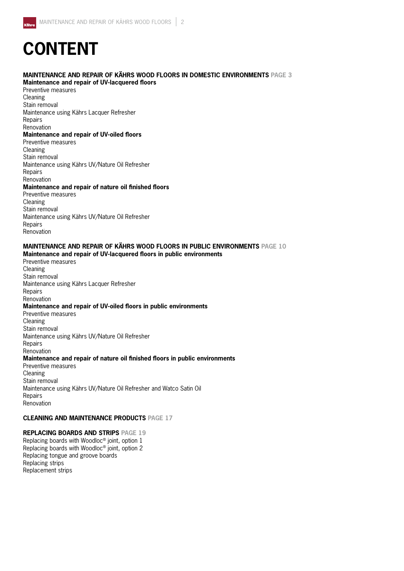# **CONTENT**

## **Maintenance and repair of Kährs wood floors in domestic environments Page 3**

**Maintenance and repair of UV-lacquered floors** Preventive measures Cleaning Stain removal Maintenance using Kährs Lacquer Refresher Repairs Renovation **Maintenance and repair of UV-oiled floors** Preventive measures Cleaning Stain removal Maintenance using Kährs UV/Nature Oil Refresher Repairs Renovation **Maintenance and repair of nature oil finished floors** Preventive measures Cleaning Stain removal Maintenance using Kährs UV/Nature Oil Refresher Repairs Renovation

## **Maintenance and repair of Kährs wood floors in public environments Page 10**

**Maintenance and repair of UV-lacquered floors in public environments** Preventive measures Cleaning Stain removal Maintenance using Kährs Lacquer Refresher Repairs Renovation **Maintenance and repair of UV-oiled floors in public environments** Preventive measures Cleaning Stain removal Maintenance using Kährs UV/Nature Oil Refresher Repairs Renovation **Maintenance and repair of nature oil finished floors in public environments** Preventive measures Cleaning Stain removal Maintenance using Kährs UV/Nature Oil Refresher and Watco Satin Oil Repairs Renovation

### **Cleaning and maintenance PRODUCTS Page 17**

#### **Replacing boards and strips Page 19**

Replacing boards with Woodloc® joint, option 1 Replacing boards with Woodloc® joint, option 2 Replacing tongue and groove boards Replacing strips Replacement strips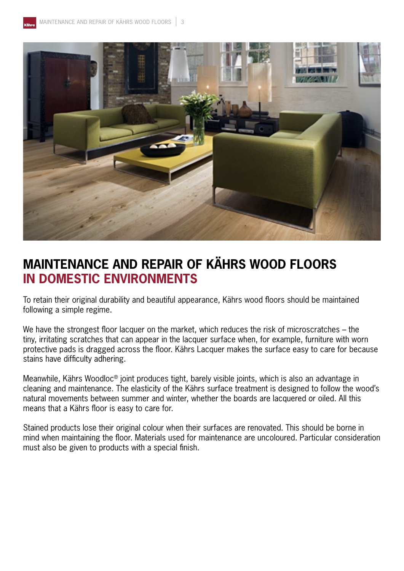

## **MAINTENANCE AND REPAIR OF KÄHRS WOOD FLOORS IN DOMESTIC ENVIRONMENTS**

To retain their original durability and beautiful appearance, Kährs wood floors should be maintained following a simple regime.

We have the strongest floor lacquer on the market, which reduces the risk of microscratches – the tiny, irritating scratches that can appear in the lacquer surface when, for example, furniture with worn protective pads is dragged across the floor. Kährs Lacquer makes the surface easy to care for because stains have difficulty adhering.

Meanwhile, Kährs Woodloc® joint produces tight, barely visible joints, which is also an advantage in cleaning and maintenance. The elasticity of the Kährs surface treatment is designed to follow the wood's natural movements between summer and winter, whether the boards are lacquered or oiled. All this means that a Kährs floor is easy to care for.

Stained products lose their original colour when their surfaces are renovated. This should be borne in mind when maintaining the floor. Materials used for maintenance are uncoloured. Particular consideration must also be given to products with a special finish.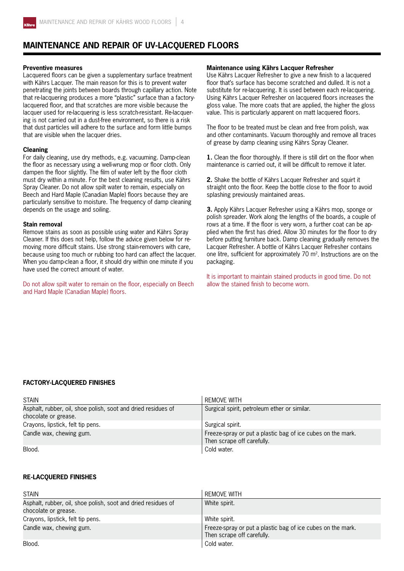

## **Maintenance and repair of UV-lacquered floors**

#### **Preventive measures**

Lacquered floors can be given a supplementary surface treatment with Kährs Lacquer. The main reason for this is to prevent water penetrating the joints between boards through capillary action. Note that re-lacquering produces a more "plastic" surface than a factorylacquered floor, and that scratches are more visible because the lacquer used for re-lacquering is less scratch-resistant. Re-lacquering is not carried out in a dust-free environment, so there is a risk that dust particles will adhere to the surface and form little bumps that are visible when the lacquer dries.

#### **Cleaning**

For daily cleaning, use dry methods, e.g. vacuuming. Damp-clean the floor as necessary using a well-wrung mop or floor cloth. Only dampen the floor slightly. The film of water left by the floor cloth must dry within a minute. For the best cleaning results, use Kährs Spray Cleaner. Do not allow spilt water to remain, especially on Beech and Hard Maple (Canadian Maple) floors because they are particularly sensitive to moisture. The frequency of damp cleaning depends on the usage and soiling.

#### **Stain removal**

Remove stains as soon as possible using water and Kährs Spray Cleaner. If this does not help, follow the advice given below for removing more difficult stains. Use strong stain-removers with care, because using too much or rubbing too hard can affect the lacquer. When you damp-clean a floor, it should dry within one minute if you have used the correct amount of water.

Do not allow spilt water to remain on the floor, especially on Beech and Hard Maple (Canadian Maple) floors.

#### **Maintenance using Kährs Lacquer Refresher**

Use Kährs Lacquer Refresher to give a new finish to a lacquered floor that's surface has become scratched and dulled. It is not a substitute for re-lacquering. It is used between each re-lacquering. Using Kährs Lacquer Refresher on lacquered floors increases the gloss value. The more coats that are applied, the higher the gloss value. This is particularly apparent on matt lacquered floors.

The floor to be treated must be clean and free from polish, wax and other contaminants. Vacuum thoroughly and remove all traces of grease by damp cleaning using Kährs Spray Cleaner.

**1.** Clean the floor thoroughly. If there is still dirt on the floor when maintenance is carried out, it will be difficult to remove it later.

**2.** Shake the bottle of Kährs Lacquer Refresher and squirt it straight onto the floor. Keep the bottle close to the floor to avoid splashing previously maintained areas.

**3.** Apply Kährs Lacquer Refresher using a Kährs mop, sponge or polish spreader. Work along the lengths of the boards, a couple of rows at a time. If the floor is very worn, a further coat can be applied when the first has dried. Allow 30 minutes for the floor to dry before putting furniture back. Damp cleaning gradually removes the Lacquer Refresher. A bottle of Kährs Lacquer Refresher contains one litre, sufficient for approximately  $70 \text{ m}^2$ . Instructions are on the packaging.

It is important to maintain stained products in good time. Do not allow the stained finish to become worn.

#### **Factory-lacquered finishes**

| <b>STAIN</b>                                                                          | <b>REMOVE WITH</b>                                                                        |
|---------------------------------------------------------------------------------------|-------------------------------------------------------------------------------------------|
| Asphalt, rubber, oil, shoe polish, soot and dried residues of<br>chocolate or grease. | Surgical spirit, petroleum ether or similar.                                              |
| Crayons, lipstick, felt tip pens.                                                     | Surgical spirit.                                                                          |
| Candle wax, chewing gum.                                                              | Freeze-spray or put a plastic bag of ice cubes on the mark.<br>Then scrape off carefully. |
| Blood.                                                                                | Cold water.                                                                               |

#### **Re-lacquered finishes**

| <b>STAIN</b>                                                                          | <b>REMOVE WITH</b>                                                                        |
|---------------------------------------------------------------------------------------|-------------------------------------------------------------------------------------------|
| Asphalt, rubber, oil, shoe polish, soot and dried residues of<br>chocolate or grease. | White spirit.                                                                             |
| Crayons, lipstick, felt tip pens.                                                     | White spirit.                                                                             |
| Candle wax, chewing gum.                                                              | Freeze-spray or put a plastic bag of ice cubes on the mark.<br>Then scrape off carefully. |
| Blood.                                                                                | Cold water.                                                                               |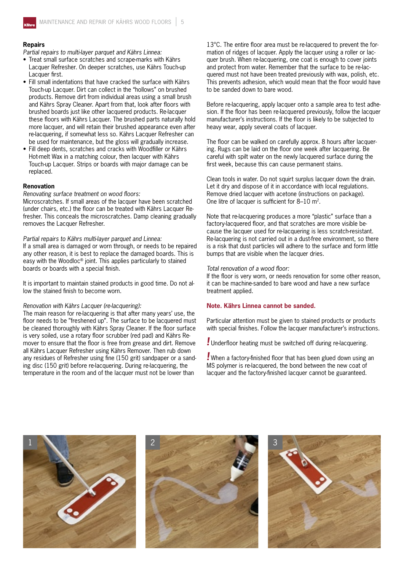#### **Repairs**

*Partial repairs to multi-layer parquet and Kährs Linnea:*

- Treat small surface scratches and scrape-marks with Kährs Lacquer Refresher. On deeper scratches, use Kährs Touch-up Lacquer first.
- Fill small indentations that have cracked the surface with Kährs Touch-up Lacquer. Dirt can collect in the "hollows" on brushed products. Remove dirt from individual areas using a small brush and Kährs Spray Cleaner. Apart from that, look after floors with brushed boards just like other lacquered products. Re-lacquer these floors with Kährs Lacquer. The brushed parts naturally hold more lacquer, and will retain their brushed appearance even after re-lacquering, if somewhat less so. Kährs Lacquer Refresher can be used for maintenance, but the gloss will gradually increase.
- Fill deep dents, scratches and cracks with Woodfiller or Kährs Hot-melt Wax in a matching colour, then lacquer with Kährs Touch-up Lacquer. Strips or boards with major damage can be replaced.

#### **Renovation**

*Renovating surface treatment on wood floors:*

Microscratches. If small areas of the lacquer have been scratched (under chairs, etc.) the floor can be treated with Kährs Lacquer Refresher. This conceals the microscratches. Damp cleaning gradually removes the Lacquer Refresher.

*Partial repairs to Kährs multi-layer parquet and Linnea:*

If a small area is damaged or worn through, or needs to be repaired any other reason, it is best to replace the damaged boards. This is easy with the Woodloc® joint. This applies particularly to stained boards or boards with a special finish.

It is important to maintain stained products in good time. Do not allow the stained finish to become worn.

#### *Renovation with Kährs Lacquer (re-lacquering):*

The main reason for re-lacquering is that after many years' use, the floor needs to be "freshened up". The surface to be lacquered must be cleaned thoroughly with Kährs Spray Cleaner. If the floor surface is very soiled, use a rotary floor scrubber (red pad) and Kährs Remover to ensure that the floor is free from grease and dirt. Remove all Kährs Lacquer Refresher using Kährs Remover. Then rub down any residues of Refresher using fine (150 grit) sandpaper or a sanding disc (150 grit) before re-lacquering. During re-lacquering, the temperature in the room and of the lacquer must not be lower than

13°C. The entire floor area must be re-lacquered to prevent the formation of ridges of lacquer. Apply the lacquer using a roller or lacquer brush. When re-lacquering, one coat is enough to cover joints and protect from water. Remember that the surface to be re-lacquered must not have been treated previously with wax, polish, etc. This prevents adhesion, which would mean that the floor would have to be sanded down to bare wood.

Before re-lacquering, apply lacquer onto a sample area to test adhesion. If the floor has been re-lacquered previously, follow the lacquer manufacturer's instructions. If the floor is likely to be subjected to heavy wear, apply several coats of lacquer.

The floor can be walked on carefully approx. 8 hours after lacquering. Rugs can be laid on the floor one week after lacquering. Be careful with spilt water on the newly lacquered surface during the first week, because this can cause permanent stains.

Clean tools in water. Do not squirt surplus lacquer down the drain. Let it dry and dispose of it in accordance with local regulations. Remove dried lacquer with acetone (instructions on package). One litre of lacquer is sufficient for 8–10 m2.

Note that re-lacquering produces a more "plastic" surface than a factory-lacquered floor, and that scratches are more visible because the lacquer used for re-lacquering is less scratch-resistant. Re-lacquering is not carried out in a dust-free environment, so there is a risk that dust particles will adhere to the surface and form little bumps that are visible when the lacquer dries.

#### *Total renovation of a wood floor:*

If the floor is very worn, or needs renovation for some other reason, it can be machine-sanded to bare wood and have a new surface treatment applied.

#### **Note. Kährs Linnea cannot be sanded.**

Particular attention must be given to stained products or products with special finishes. Follow the lacquer manufacturer's instructions.

*!* Underfloor heating must be switched off during re-lacquering.

*!* When a factory-finished floor that has been glued down using an MS polymer is re-lacquered, the bond between the new coat of lacquer and the factory-finished lacquer cannot be guaranteed.

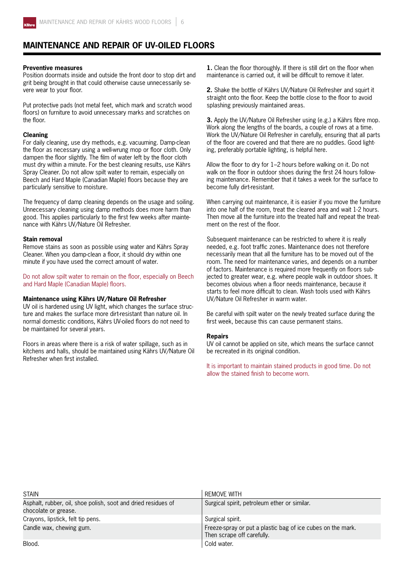

## **Maintenance and repair of UV-oiled floors**

#### **Preventive measures**

Position doormats inside and outside the front door to stop dirt and grit being brought in that could otherwise cause unnecessarily severe wear to your floor.

Put protective pads (not metal feet, which mark and scratch wood floors) on furniture to avoid unnecessary marks and scratches on the floor.

#### **Cleaning**

For daily cleaning, use dry methods, e.g. vacuuming. Damp-clean the floor as necessary using a well-wrung mop or floor cloth. Only dampen the floor slightly. The film of water left by the floor cloth must dry within a minute. For the best cleaning results, use Kährs Spray Cleaner. Do not allow spilt water to remain, especially on Beech and Hard Maple (Canadian Maple) floors because they are particularly sensitive to moisture.

The frequency of damp cleaning depends on the usage and soiling. Unnecessary cleaning using damp methods does more harm than good. This applies particularly to the first few weeks after maintenance with Kährs UV/Nature Oil Refresher.

#### **Stain removal**

Remove stains as soon as possible using water and Kährs Spray Cleaner. When you damp-clean a floor, it should dry within one minute if you have used the correct amount of water.

Do not allow spilt water to remain on the floor, especially on Beech and Hard Maple (Canadian Maple) floors.

#### **Maintenance using Kährs UV/Nature Oil Refresher**

UV oil is hardened using UV light, which changes the surface structure and makes the surface more dirt-resistant than nature oil. In normal domestic conditions, Kährs UV-oiled floors do not need to be maintained for several years.

Floors in areas where there is a risk of water spillage, such as in kitchens and halls, should be maintained using Kährs UV/Nature Oil Refresher when first installed.

**1.** Clean the floor thoroughly. If there is still dirt on the floor when maintenance is carried out, it will be difficult to remove it later.

**2.** Shake the bottle of Kährs UV/Nature Oil Refresher and squirt it straight onto the floor. Keep the bottle close to the floor to avoid splashing previously maintained areas.

**3.** Apply the UV/Nature Oil Refresher using (e.g.) a Kährs fibre mop. Work along the lengths of the boards, a couple of rows at a time. Work the UV/Nature Oil Refresher in carefully, ensuring that all parts of the floor are covered and that there are no puddles. Good lighting, preferably portable lighting, is helpful here.

Allow the floor to dry for 1–2 hours before walking on it. Do not walk on the floor in outdoor shoes during the first 24 hours following maintenance. Remember that it takes a week for the surface to become fully dirt-resistant.

When carrying out maintenance, it is easier if you move the furniture into one half of the room, treat the cleared area and wait 1-2 hours. Then move all the furniture into the treated half and repeat the treatment on the rest of the floor.

Subsequent maintenance can be restricted to where it is really needed, e.g. foot traffic zones. Maintenance does not therefore necessarily mean that all the furniture has to be moved out of the room. The need for maintenance varies, and depends on a number of factors. Maintenance is required more frequently on floors subjected to greater wear, e.g. where people walk in outdoor shoes. It becomes obvious when a floor needs maintenance, because it starts to feel more difficult to clean. Wash tools used with Kährs UV/Nature Oil Refresher in warm water.

Be careful with spilt water on the newly treated surface during the first week, because this can cause permanent stains.

#### **Repairs**

UV oil cannot be applied on site, which means the surface cannot be recreated in its original condition.

It is important to maintain stained products in good time. Do not allow the stained finish to become worn.

| <b>STAIN</b>                                                                          | REMOVE WITH                                                                               |
|---------------------------------------------------------------------------------------|-------------------------------------------------------------------------------------------|
| Asphalt, rubber, oil, shoe polish, soot and dried residues of<br>chocolate or grease. | Surgical spirit, petroleum ether or similar.                                              |
| Crayons, lipstick, felt tip pens.                                                     | Surgical spirit.                                                                          |
| Candle wax, chewing gum.                                                              | Freeze-spray or put a plastic bag of ice cubes on the mark.<br>Then scrape off carefully. |
| Blood.                                                                                | Cold water.                                                                               |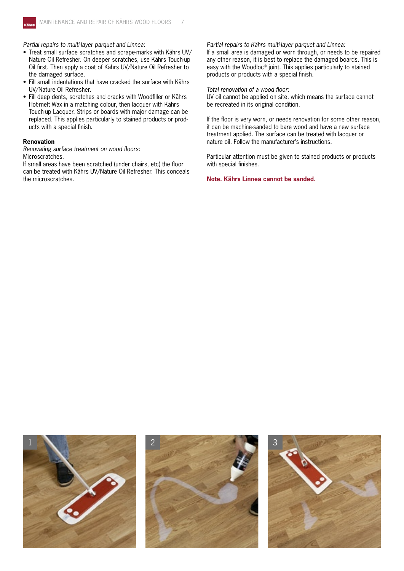

*Partial repairs to multi-layer parquet and Linnea:*

- Treat small surface scratches and scrape-marks with Kährs UV/ Nature Oil Refresher. On deeper scratches, use Kährs Touch-up Oil first. Then apply a coat of Kährs UV/Nature Oil Refresher to the damaged surface.
- Fill small indentations that have cracked the surface with Kährs UV/Nature Oil Refresher.
- Fill deep dents, scratches and cracks with Woodfiller or Kährs Hot-melt Wax in a matching colour, then lacquer with Kährs Touch-up Lacquer. Strips or boards with major damage can be replaced. This applies particularly to stained products or products with a special finish.

#### **Renovation**

*Renovating surface treatment on wood floors:* Microscratches.

If small areas have been scratched (under chairs, etc) the floor can be treated with Kährs UV/Nature Oil Refresher. This conceals the microscratches.

#### *Partial repairs to Kährs multi-layer parquet and Linnea:*

If a small area is damaged or worn through, or needs to be repaired any other reason, it is best to replace the damaged boards. This is easy with the Woodloc® joint. This applies particularly to stained products or products with a special finish.

*Total renovation of a wood floor:*

UV oil cannot be applied on site, which means the surface cannot be recreated in its original condition.

If the floor is very worn, or needs renovation for some other reason, it can be machine-sanded to bare wood and have a new surface treatment applied. The surface can be treated with lacquer or nature oil. Follow the manufacturer's instructions.

Particular attention must be given to stained products or products with special finishes.

**Note. Kährs Linnea cannot be sanded.**

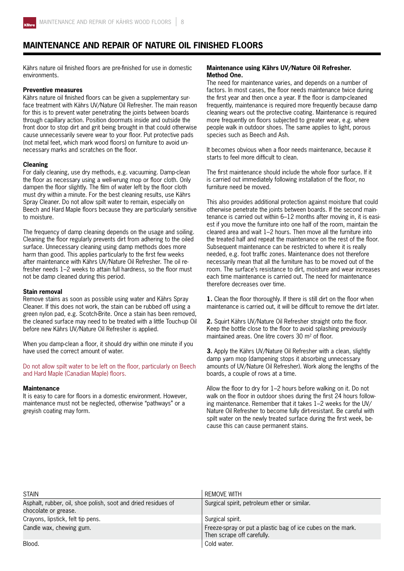

## **Maintenance and repair of Nature Oil finished floors**

Kährs nature oil finished floors are pre-finished for use in domestic environments.

#### **Preventive measures**

Kährs nature oil finished floors can be given a supplementary surface treatment with Kährs UV/Nature Oil Refresher. The main reason for this is to prevent water penetrating the joints between boards through capillary action. Position doormats inside and outside the front door to stop dirt and grit being brought in that could otherwise cause unnecessarily severe wear to your floor. Put protective pads (not metal feet, which mark wood floors) on furniture to avoid unnecessary marks and scratches on the floor.

#### **Cleaning**

For daily cleaning, use dry methods, e.g. vacuuming. Damp-clean the floor as necessary using a well-wrung mop or floor cloth. Only dampen the floor slightly. The film of water left by the floor cloth must dry within a minute. For the best cleaning results, use Kährs Spray Cleaner. Do not allow spilt water to remain, especially on Beech and Hard Maple floors because they are particularly sensitive to moisture.

The frequency of damp cleaning depends on the usage and soiling. Cleaning the floor regularly prevents dirt from adhering to the oiled surface. Unnecessary cleaning using damp methods does more harm than good. This applies particularly to the first few weeks after maintenance with Kährs UV/Nature Oil Refresher. The oil refresher needs 1–2 weeks to attain full hardness, so the floor must not be damp cleaned during this period.

#### **Stain removal**

Remove stains as soon as possible using water and Kährs Spray Cleaner. If this does not work, the stain can be rubbed off using a green nylon pad, e.g. Scotch-Brite. Once a stain has been removed, the cleaned surface may need to be treated with a little Touch-up Oil before new Kährs UV/Nature Oil Refresher is applied.

When you damp-clean a floor, it should dry within one minute if you have used the correct amount of water.

Do not allow spilt water to be left on the floor, particularly on Beech and Hard Maple (Canadian Maple) floors.

#### **Maintenance**

It is easy to care for floors in a domestic environment. However, maintenance must not be neglected, otherwise "pathways" or a greyish coating may form.

#### **Maintenance using Kährs UV/Nature Oil Refresher. Method One.**

The need for maintenance varies, and depends on a number of factors. In most cases, the floor needs maintenance twice during the first year and then once a year. If the floor is damp-cleaned frequently, maintenance is required more frequently because damp cleaning wears out the protective coating. Maintenance is required more frequently on floors subjected to greater wear, e.g. where people walk in outdoor shoes. The same applies to light, porous species such as Beech and Ash.

It becomes obvious when a floor needs maintenance, because it starts to feel more difficult to clean.

The first maintenance should include the whole floor surface. If it is carried out immediately following installation of the floor, no furniture need be moved.

This also provides additional protection against moisture that could otherwise penetrate the joints between boards. If the second maintenance is carried out within 6–12 months after moving in, it is easiest if you move the furniture into one half of the room, maintain the cleared area and wait 1–2 hours. Then move all the furniture into the treated half and repeat the maintenance on the rest of the floor. Subsequent maintenance can be restricted to where it is really needed, e.g. foot traffic zones. Maintenance does not therefore necessarily mean that all the furniture has to be moved out of the room. The surface's resistance to dirt, moisture and wear increases each time maintenance is carried out. The need for maintenance therefore decreases over time.

**1.** Clean the floor thoroughly. If there is still dirt on the floor when maintenance is carried out, it will be difficult to remove the dirt later.

**2.** Squirt Kährs UV/Nature Oil Refresher straight onto the floor. Keep the bottle close to the floor to avoid splashing previously maintained areas. One litre covers 30 m<sup>2</sup> of floor.

**3.** Apply the Kährs UV/Nature Oil Refresher with a clean, slightly damp yarn mop (dampening stops it absorbing unnecessary amounts of UV/Nature Oil Refresher). Work along the lengths of the boards, a couple of rows at a time.

Allow the floor to dry for 1–2 hours before walking on it. Do not walk on the floor in outdoor shoes during the first 24 hours following maintenance. Remember that it takes 1–2 weeks for the UV/ Nature Oil Refresher to become fully dirt-resistant. Be careful with spilt water on the newly treated surface during the first week, because this can cause permanent stains.

| <b>STAIN</b>                                                                          | <b>REMOVE WITH</b>                                                                        |
|---------------------------------------------------------------------------------------|-------------------------------------------------------------------------------------------|
| Asphalt, rubber, oil, shoe polish, soot and dried residues of<br>chocolate or grease. | Surgical spirit, petroleum ether or similar.                                              |
| Crayons, lipstick, felt tip pens.                                                     | Surgical spirit.                                                                          |
| Candle wax, chewing gum.                                                              | Freeze-spray or put a plastic bag of ice cubes on the mark.<br>Then scrape off carefully. |
| Blood.                                                                                | Cold water.                                                                               |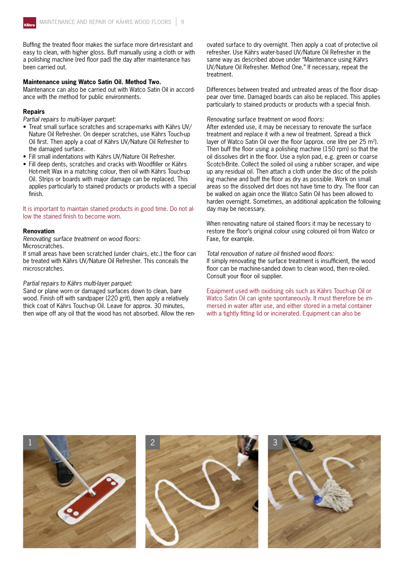Buffing the treated floor makes the surface more dirt-resistant and easy to clean, with higher gloss. Buff manually using a cloth or with a polishing machine (red floor pad) the day after maintenance has been carried out.

#### **Maintenance using Watco Satin Oil. Method Two.**

Maintenance can also be carried out with Watco Satin Oil in accordance with the method for public environments.

#### **Repairs**

*Partial repairs to multi-layer parquet:*

- Treat small surface scratches and scrape-marks with Kährs UV/ Nature Oil Refresher. On deeper scratches, use Kährs Touch-up Oil first. Then apply a coat of Kährs UV/Nature Oil Refresher to the damaged surface.
- Fill small indentations with Kährs UV/Nature Oil Refresher.
- Fill deep dents, scratches and cracks with Woodfiller or Kährs Hot-melt Wax in a matching colour, then oil with Kährs Touch-up Oil. Strips or boards with major damage can be replaced. This applies particularly to stained products or products with a special finish.

It is important to maintain stained products in good time. Do not allow the stained finish to become worn.

#### **Renovation**

*Renovating surface treatment on wood floors:* Microscratches.

If small areas have been scratched (under chairs, etc.) the floor can be treated with Kährs UV/Nature Oil Refresher. This conceals the microscratches.

#### *Partial repairs to Kährs multi-layer parquet:*

Sand or plane worn or damaged surfaces down to clean, bare wood. Finish off with sandpaper (220 grit), then apply a relatively thick coat of Kährs Touch-up Oil. Leave for approx. 30 minutes, then wipe off any oil that the wood has not absorbed. Allow the renovated surface to dry overnight. Then apply a coat of protective oil refresher. Use Kährs water-based UV/Nature Oil Refresher in the same way as described above under "Maintenance using Kährs UV/Nature Oil Refresher. Method One." If necessary, repeat the treatment.

Differences between treated and untreated areas of the floor disappear over time. Damaged boards can also be replaced. This applies particularly to stained products or products with a special finish.

#### *Renovating surface treatment on wood floors:*

After extended use, it may be necessary to renovate the surface treatment and replace it with a new oil treatment. Spread a thick layer of Watco Satin Oil over the floor (approx. one litre per 25 m<sup>2</sup>). Then buff the floor using a polishing machine (150 rpm) so that the oil dissolves dirt in the floor. Use a nylon pad, e.g. green or coarse Scotch-Brite. Collect the soiled oil using a rubber scraper, and wipe up any residual oil. Then attach a cloth under the disc of the polishing machine and buff the floor as dry as possible. Work on small areas so the dissolved dirt does not have time to dry. The floor can be walked on again once the Watco Satin Oil has been allowed to harden overnight. Sometimes, an additional application the following day may be necessary.

When renovating nature oil stained floors it may be necessary to restore the floor's original colour using coloured oil from Watco or Faxe, for example.

*Total renovation of nature oil finished wood floors:* If simply renovating the surface treatment is insufficient, the wood floor can be machine-sanded down to clean wood, then re-oiled. Consult your floor oil supplier.

Equipment used with oxidising oils such as Kährs Touch-up Oil or Watco Satin Oil can ignite spontaneously. It must therefore be immersed in water after use, and either stored in a metal container with a tightly fitting lid or incinerated. Equipment can also be

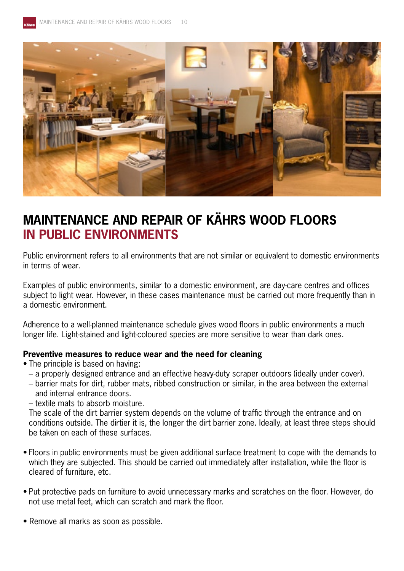

## **MAINTENANCE AND REPAIR OF KÄHRS WOOD FLOORS IN PUBLIC ENVIRONMENTS**

Public environment refers to all environments that are not similar or equivalent to domestic environments in terms of wear.

Examples of public environments, similar to a domestic environment, are day-care centres and offices subject to light wear. However, in these cases maintenance must be carried out more frequently than in a domestic environment.

Adherence to a well-planned maintenance schedule gives wood floors in public environments a much longer life. Light-stained and light-coloured species are more sensitive to wear than dark ones.

### **Preventive measures to reduce wear and the need for cleaning**

- The principle is based on having:
	- a properly designed entrance and an effective heavy-duty scraper outdoors (ideally under cover).
	- barrier mats for dirt, rubber mats, ribbed construction or similar, in the area between the external and internal entrance doors.
	- textile mats to absorb moisture.

 The scale of the dirt barrier system depends on the volume of traffic through the entrance and on conditions outside. The dirtier it is, the longer the dirt barrier zone. Ideally, at least three steps should be taken on each of these surfaces.

- Floors in public environments must be given additional surface treatment to cope with the demands to which they are subjected. This should be carried out immediately after installation, while the floor is cleared of furniture, etc.
- Put protective pads on furniture to avoid unnecessary marks and scratches on the floor. However, do not use metal feet, which can scratch and mark the floor.
- Remove all marks as soon as possible.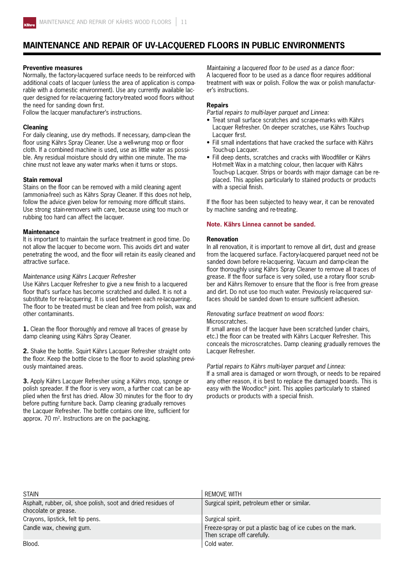## **Maintenance and repair of UV-lacquered floors in public environments**

#### **Preventive measures**

Normally, the factory-lacquered surface needs to be reinforced with additional coats of lacquer (unless the area of application is comparable with a domestic environment). Use any currently available lacquer designed for re-lacquering factory-treated wood floors without the need for sanding down first.

Follow the lacquer manufacturer's instructions.

#### **Cleaning**

For daily cleaning, use dry methods. If necessary, damp-clean the floor using Kährs Spray Cleaner. Use a well-wrung mop or floor cloth. If a combined machine is used, use as little water as possible. Any residual moisture should dry within one minute. The machine must not leave any water marks when it turns or stops.

#### **Stain removal**

Stains on the floor can be removed with a mild cleaning agent (ammonia-free) such as Kährs Spray Cleaner. If this does not help, follow the advice given below for removing more difficult stains. Use strong stain-removers with care, because using too much or rubbing too hard can affect the lacquer.

#### **Maintenance**

It is important to maintain the surface treatment in good time. Do not allow the lacquer to become worn. This avoids dirt and water penetrating the wood, and the floor will retain its easily cleaned and attractive surface.

#### *Maintenance using Kährs Lacquer Refresher*

Use Kährs Lacquer Refresher to give a new finish to a lacquered floor that's surface has become scratched and dulled. It is not a substitute for re-lacquering. It is used between each re-lacquering. The floor to be treated must be clean and free from polish, wax and other contaminants.

**1.** Clean the floor thoroughly and remove all traces of grease by damp cleaning using Kährs Spray Cleaner.

**2.** Shake the bottle. Squirt Kährs Lacquer Refresher straight onto the floor. Keep the bottle close to the floor to avoid splashing previously maintained areas.

**3.** Apply Kährs Lacquer Refresher using a Kährs mop, sponge or polish spreader. If the floor is very worn, a further coat can be applied when the first has dried. Allow 30 minutes for the floor to dry before putting furniture back. Damp cleaning gradually removes the Lacquer Refresher. The bottle contains one litre, sufficient for approx. 70  $m^2$ . Instructions are on the packaging.

*Maintaining a lacquered floor to be used as a dance floor:* A lacquered floor to be used as a dance floor requires additional treatment with wax or polish. Follow the wax or polish manufacturer's instructions.

#### **Repairs**

*Partial repairs to multi-layer parquet and Linnea:*

- Treat small surface scratches and scrape-marks with Kährs Lacquer Refresher. On deeper scratches, use Kährs Touch-up Lacquer first.
- Fill small indentations that have cracked the surface with Kährs Touch-up Lacquer.
- Fill deep dents, scratches and cracks with Woodfiller or Kährs Hot-melt Wax in a matching colour, then lacquer with Kährs Touch-up Lacquer. Strips or boards with major damage can be replaced. This applies particularly to stained products or products with a special finish.

If the floor has been subjected to heavy wear, it can be renovated by machine sanding and re-treating.

#### **Note. Kährs Linnea cannot be sanded.**

#### **Renovation**

In all renovation, it is important to remove all dirt, dust and grease from the lacquered surface. Factory-lacquered parquet need not be sanded down before re-lacquering. Vacuum and damp-clean the floor thoroughly using Kährs Spray Cleaner to remove all traces of grease. If the floor surface is very soiled, use a rotary floor scrubber and Kährs Remover to ensure that the floor is free from grease and dirt. Do not use too much water. Previously re-lacquered surfaces should be sanded down to ensure sufficient adhesion.

#### *Renovating surface treatment on wood floors:*

Microscratches.

If small areas of the lacquer have been scratched (under chairs, etc.) the floor can be treated with Kährs Lacquer Refresher. This conceals the microscratches. Damp cleaning gradually removes the Lacquer Refresher.

#### *Partial repairs to Kährs multi-layer parquet and Linnea:*

If a small area is damaged or worn through, or needs to be repaired any other reason, it is best to replace the damaged boards. This is easy with the Woodloc® joint. This applies particularly to stained products or products with a special finish.

| <b>STAIN</b>                                                                          | <b>REMOVE WITH</b>                                                                        |
|---------------------------------------------------------------------------------------|-------------------------------------------------------------------------------------------|
| Asphalt, rubber, oil, shoe polish, soot and dried residues of<br>chocolate or grease. | Surgical spirit, petroleum ether or similar.                                              |
| Crayons, lipstick, felt tip pens.                                                     | Surgical spirit.                                                                          |
| Candle wax, chewing gum.                                                              | Freeze-spray or put a plastic bag of ice cubes on the mark.<br>Then scrape off carefully. |
| Blood.                                                                                | Cold water.                                                                               |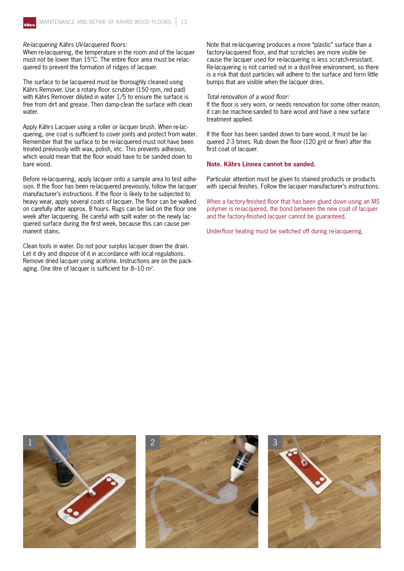#### *Re-lacquering Kährs UV-lacquered floors:*

When re-lacquering, the temperature in the room and of the lacquer must not be lower than 15°C. The entire floor area must be relacquered to prevent the formation of ridges of lacquer.

The surface to be lacquered must be thoroughly cleaned using Kährs Remover. Use a rotary floor scrubber (150 rpm, red pad) with Kährs Remover diluted in water 1/5 to ensure the surface is free from dirt and grease. Then damp-clean the surface with clean water.

Apply Kährs Lacquer using a roller or lacquer brush. When re-lacquering, one coat is sufficient to cover joints and protect from water. Remember that the surface to be re-lacquered must not have been treated previously with wax, polish, etc. This prevents adhesion, which would mean that the floor would have to be sanded down to bare wood.

Before re-lacquering, apply lacquer onto a sample area to test adhesion. If the floor has been re-lacquered previously, follow the lacquer manufacturer's instructions. If the floor is likely to be subjected to heavy wear, apply several coats of lacquer. The floor can be walked on carefully after approx. 8 hours. Rugs can be laid on the floor one week after lacquering. Be careful with spilt water on the newly lacquered surface during the first week, because this can cause permanent stains.

Clean tools in water. Do not pour surplus lacquer down the drain. Let it dry and dispose of it in accordance with local regulations. Remove dried lacquer using acetone. Instructions are on the packaging. One litre of lacquer is sufficient for 8–10 m2.

Note that re-lacquering produces a more "plastic" surface than a factory-lacquered floor, and that scratches are more visible because the lacquer used for re-lacquering is less scratch-resistant. Re-lacquering is not carried out in a dust-free environment, so there is a risk that dust particles will adhere to the surface and form little bumps that are visible when the lacquer dries.

#### *Total renovation of a wood floor:*

If the floor is very worn, or needs renovation for some other reason, it can be machine-sanded to bare wood and have a new surface treatment applied.

If the floor has been sanded down to bare wood, it must be lacquered 2-3 times. Rub down the floor (120 grit or finer) after the first coat of lacquer.

#### **Note. Kährs Linnea cannot be sanded.**

Particular attention must be given to stained products or products with special finishes. Follow the lacquer manufacturer's instructions.

When a factory-finished floor that has been glued down using an MS polymer is re-lacquered, the bond between the new coat of lacquer and the factory-finished lacquer cannot be guaranteed.

Underfloor heating must be switched off during re-lacquering.

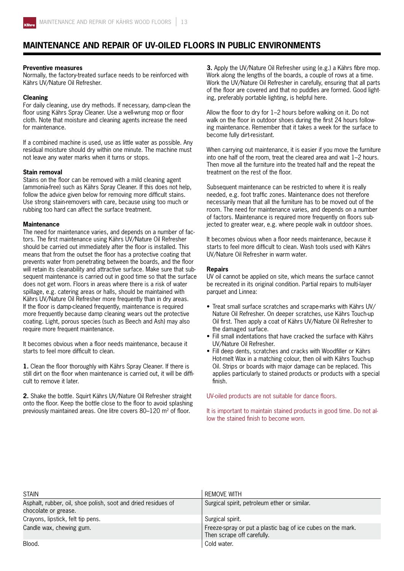

## **Maintenance and repair of UV-oiled floors in public environments**

#### **Preventive measures**

Normally, the factory-treated surface needs to be reinforced with Kährs UV/Nature Oil Refresher.

#### **Cleaning**

For daily cleaning, use dry methods. If necessary, damp-clean the floor using Kährs Spray Cleaner. Use a well-wrung mop or floor cloth. Note that moisture and cleaning agents increase the need for maintenance.

If a combined machine is used, use as little water as possible. Any residual moisture should dry within one minute. The machine must not leave any water marks when it turns or stops.

#### **Stain removal**

Stains on the floor can be removed with a mild cleaning agent (ammonia-free) such as Kährs Spray Cleaner. If this does not help, follow the advice given below for removing more difficult stains. Use strong stain-removers with care, because using too much or rubbing too hard can affect the surface treatment.

#### **Maintenance**

The need for maintenance varies, and depends on a number of factors. The first maintenance using Kährs UV/Nature Oil Refresher should be carried out immediately after the floor is installed. This means that from the outset the floor has a protective coating that prevents water from penetrating between the boards, and the floor will retain its cleanability and attractive surface. Make sure that subsequent maintenance is carried out in good time so that the surface does not get worn. Floors in areas where there is a risk of water spillage, e.g. catering areas or halls, should be maintained with Kährs UV/Nature Oil Refresher more frequently than in dry areas. If the floor is damp-cleaned frequently, maintenance is required more frequently because damp cleaning wears out the protective coating. Light, porous species (such as Beech and Ash) may also require more frequent maintenance.

It becomes obvious when a floor needs maintenance, because it starts to feel more difficult to clean.

**1.** Clean the floor thoroughly with Kährs Spray Cleaner. If there is still dirt on the floor when maintenance is carried out, it will be difficult to remove it later.

**2.** Shake the bottle. Squirt Kährs UV/Nature Oil Refresher straight onto the floor. Keep the bottle close to the floor to avoid splashing previously maintained areas. One litre covers 80-120 m<sup>2</sup> of floor.

**3.** Apply the UV/Nature Oil Refresher using (e.g.) a Kährs fibre mop. Work along the lengths of the boards, a couple of rows at a time. Work the UV/Nature Oil Refresher in carefully, ensuring that all parts of the floor are covered and that no puddles are formed. Good lighting, preferably portable lighting, is helpful here.

Allow the floor to dry for 1–2 hours before walking on it. Do not walk on the floor in outdoor shoes during the first 24 hours following maintenance. Remember that it takes a week for the surface to become fully dirt-resistant.

When carrying out maintenance, it is easier if you move the furniture into one half of the room, treat the cleared area and wait 1–2 hours. Then move all the furniture into the treated half and the repeat the treatment on the rest of the floor.

Subsequent maintenance can be restricted to where it is really needed, e.g. foot traffic zones. Maintenance does not therefore necessarily mean that all the furniture has to be moved out of the room. The need for maintenance varies, and depends on a number of factors. Maintenance is required more frequently on floors subjected to greater wear, e.g. where people walk in outdoor shoes.

It becomes obvious when a floor needs maintenance, because it starts to feel more difficult to clean. Wash tools used with Kährs UV/Nature Oil Refresher in warm water.

#### **Repairs**

UV oil cannot be applied on site, which means the surface cannot be recreated in its original condition. Partial repairs to multi-layer parquet and Linnea:

- Treat small surface scratches and scrape-marks with Kährs UV/ Nature Oil Refresher. On deeper scratches, use Kährs Touch-up Oil first. Then apply a coat of Kährs UV/Nature Oil Refresher to the damaged surface.
- Fill small indentations that have cracked the surface with Kährs UV/Nature Oil Refresher.
- Fill deep dents, scratches and cracks with Woodfiller or Kährs Hot-melt Wax in a matching colour, then oil with Kährs Touch-up Oil. Strips or boards with major damage can be replaced. This applies particularly to stained products or products with a special finish.

UV-oiled products are not suitable for dance floors.

It is important to maintain stained products in good time. Do not allow the stained finish to become worn.

| <b>STAIN</b>                                                                          | <b>REMOVE WITH</b>                                                                        |
|---------------------------------------------------------------------------------------|-------------------------------------------------------------------------------------------|
| Asphalt, rubber, oil, shoe polish, soot and dried residues of<br>chocolate or grease. | Surgical spirit, petroleum ether or similar.                                              |
| Crayons, lipstick, felt tip pens.                                                     | Surgical spirit.                                                                          |
| Candle wax, chewing gum.                                                              | Freeze-spray or put a plastic bag of ice cubes on the mark.<br>Then scrape off carefully. |
| Blood.                                                                                | Cold water.                                                                               |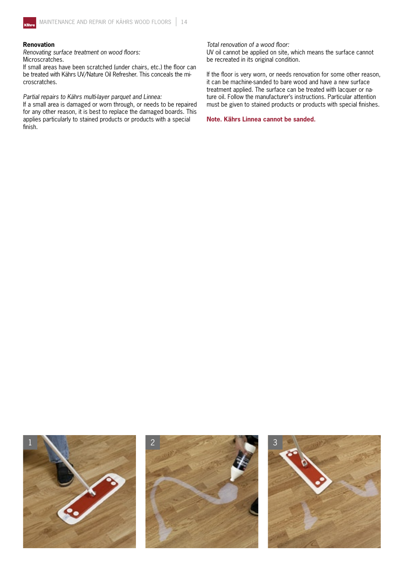

#### **Renovation**

*Renovating surface treatment on wood floors:* Microscratches.

If small areas have been scratched (under chairs, etc.) the floor can be treated with Kährs UV/Nature Oil Refresher. This conceals the microscratches.

#### *Partial repairs to Kährs multi-layer parquet and Linnea:*

If a small area is damaged or worn through, or needs to be repaired for any other reason, it is best to replace the damaged boards. This applies particularly to stained products or products with a special finish.

*Total renovation of a wood floor:*

UV oil cannot be applied on site, which means the surface cannot be recreated in its original condition.

If the floor is very worn, or needs renovation for some other reason, it can be machine-sanded to bare wood and have a new surface treatment applied. The surface can be treated with lacquer or nature oil. Follow the manufacturer's instructions. Particular attention must be given to stained products or products with special finishes.

**Note. Kährs Linnea cannot be sanded.**

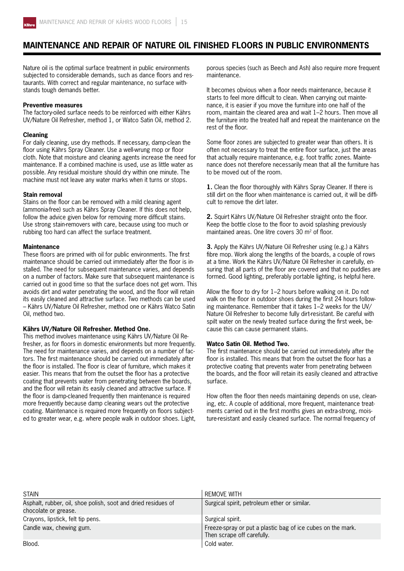

## **Maintenance and repair of Nature Oil finished floors in public environments**

Nature oil is the optimal surface treatment in public environments subjected to considerable demands, such as dance floors and restaurants. With correct and regular maintenance, no surface withstands tough demands better.

#### **Preventive measures**

The factory-oiled surface needs to be reinforced with either Kährs UV/Nature Oil Refresher, method 1, or Watco Satin Oil, method 2.

#### **Cleaning**

For daily cleaning, use dry methods. If necessary, damp-clean the floor using Kährs Spray Cleaner. Use a well-wrung mop or floor cloth. Note that moisture and cleaning agents increase the need for maintenance. If a combined machine is used, use as little water as possible. Any residual moisture should dry within one minute. The machine must not leave any water marks when it turns or stops.

#### **Stain removal**

Stains on the floor can be removed with a mild cleaning agent (ammonia-free) such as Kährs Spray Cleaner. If this does not help, follow the advice given below for removing more difficult stains. Use strong stain-removers with care, because using too much or rubbing too hard can affect the surface treatment.

#### **Maintenance**

These floors are primed with oil for public environments. The first maintenance should be carried out immediately after the floor is installed. The need for subsequent maintenance varies, and depends on a number of factors. Make sure that subsequent maintenance is carried out in good time so that the surface does not get worn. This avoids dirt and water penetrating the wood, and the floor will retain its easily cleaned and attractive surface. Two methods can be used – Kährs UV/Nature Oil Refresher, method one or Kährs Watco Satin Oil, method two.

#### **Kährs UV/Nature Oil Refresher. Method One.**

This method involves maintenance using Kährs UV/Nature Oil Refresher, as for floors in domestic environments but more frequently. The need for maintenance varies, and depends on a number of factors. The first maintenance should be carried out immediately after the floor is installed. The floor is clear of furniture, which makes it easier. This means that from the outset the floor has a protective coating that prevents water from penetrating between the boards, and the floor will retain its easily cleaned and attractive surface. If the floor is damp-cleaned frequently then maintenance is required more frequently because damp cleaning wears out the protective coating. Maintenance is required more frequently on floors subjected to greater wear, e.g. where people walk in outdoor shoes. Light,

porous species (such as Beech and Ash) also require more frequent maintenance.

It becomes obvious when a floor needs maintenance, because it starts to feel more difficult to clean. When carrying out maintenance, it is easier if you move the furniture into one half of the room, maintain the cleared area and wait 1–2 hours. Then move all the furniture into the treated half and repeat the maintenance on the rest of the floor.

Some floor zones are subjected to greater wear than others. It is often not necessary to treat the entire floor surface, just the areas that actually require maintenance, e.g. foot traffic zones. Maintenance does not therefore necessarily mean that all the furniture has to be moved out of the room.

**1.** Clean the floor thoroughly with Kährs Spray Cleaner. If there is still dirt on the floor when maintenance is carried out, it will be difficult to remove the dirt later.

**2.** Squirt Kährs UV/Nature Oil Refresher straight onto the floor. Keep the bottle close to the floor to avoid splashing previously maintained areas. One litre covers 30 m<sup>2</sup> of floor.

**3.** Apply the Kährs UV/Nature Oil Refresher using (e.g.) a Kährs fibre mop. Work along the lengths of the boards, a couple of rows at a time. Work the Kährs UV/Nature Oil Refresher in carefully, ensuring that all parts of the floor are covered and that no puddles are formed. Good lighting, preferably portable lighting, is helpful here.

Allow the floor to dry for 1–2 hours before walking on it. Do not walk on the floor in outdoor shoes during the first 24 hours following maintenance. Remember that it takes 1–2 weeks for the UV/ Nature Oil Refresher to become fully dirt-resistant. Be careful with spilt water on the newly treated surface during the first week, because this can cause permanent stains.

#### **Watco Satin Oil. Method Two.**

The first maintenance should be carried out immediately after the floor is installed. This means that from the outset the floor has a protective coating that prevents water from penetrating between the boards, and the floor will retain its easily cleaned and attractive surface.

How often the floor then needs maintaining depends on use, cleaning, etc. A couple of additional, more frequent, maintenance treatments carried out in the first months gives an extra-strong, moisture-resistant and easily cleaned surface. The normal frequency of

| <b>STAIN</b>                                                                          | REMOVE WITH                                                                               |
|---------------------------------------------------------------------------------------|-------------------------------------------------------------------------------------------|
| Asphalt, rubber, oil, shoe polish, soot and dried residues of<br>chocolate or grease. | Surgical spirit, petroleum ether or similar.                                              |
| Crayons, lipstick, felt tip pens.                                                     | Surgical spirit.                                                                          |
| Candle wax, chewing gum.                                                              | Freeze-spray or put a plastic bag of ice cubes on the mark.<br>Then scrape off carefully. |
| Blood.                                                                                | Cold water.                                                                               |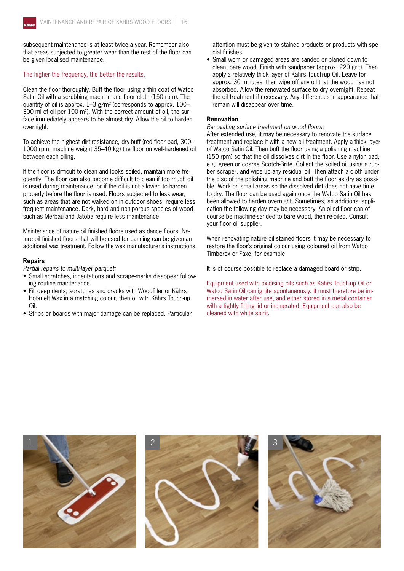subsequent maintenance is at least twice a year. Remember also that areas subjected to greater wear than the rest of the floor can be given localised maintenance.

#### The higher the frequency, the better the results.

Clean the floor thoroughly. Buff the floor using a thin coat of Watco Satin Oil with a scrubbing machine and floor cloth (150 rpm). The quantity of oil is approx.  $1-3$  g/m<sup>2</sup> (corresponds to approx.  $100-$ 300 ml of oil per 100 m2). With the correct amount of oil, the surface immediately appears to be almost dry. Allow the oil to harden overnight.

To achieve the highest dirt-resistance, dry-buff (red floor pad, 300– 1000 rpm, machine weight 35–40 kg) the floor on well-hardened oil between each oiling.

If the floor is difficult to clean and looks soiled, maintain more frequently. The floor can also become difficult to clean if too much oil is used during maintenance, or if the oil is not allowed to harden properly before the floor is used. Floors subjected to less wear, such as areas that are not walked on in outdoor shoes, require less frequent maintenance. Dark, hard and non-porous species of wood such as Merbau and Jatoba require less maintenance.

Maintenance of nature oil finished floors used as dance floors. Nature oil finished floors that will be used for dancing can be given an additional wax treatment. Follow the wax manufacturer's instructions.

#### **Repairs**

*Partial repairs to multi-layer parquet:*

- Small scratches, indentations and scrape-marks disappear following routine maintenance.
- Fill deep dents, scratches and cracks with Woodfiller or Kährs Hot-melt Wax in a matching colour, then oil with Kährs Touch-up Oil.
- Strips or boards with major damage can be replaced. Particular

attention must be given to stained products or products with special finishes.

• Small worn or damaged areas are sanded or planed down to clean, bare wood. Finish with sandpaper (approx. 220 grit). Then apply a relatively thick layer of Kährs Touch-up Oil. Leave for approx. 30 minutes, then wipe off any oil that the wood has not absorbed. Allow the renovated surface to dry overnight. Repeat the oil treatment if necessary. Any differences in appearance that remain will disappear over time.

#### **Renovation**

*Renovating surface treatment on wood floors:*

After extended use, it may be necessary to renovate the surface treatment and replace it with a new oil treatment. Apply a thick layer of Watco Satin Oil. Then buff the floor using a polishing machine (150 rpm) so that the oil dissolves dirt in the floor. Use a nylon pad, e.g. green or coarse Scotch-Brite. Collect the soiled oil using a rubber scraper, and wipe up any residual oil. Then attach a cloth under the disc of the polishing machine and buff the floor as dry as possible. Work on small areas so the dissolved dirt does not have time to dry. The floor can be used again once the Watco Satin Oil has been allowed to harden overnight. Sometimes, an additional application the following day may be necessary. An oiled floor can of course be machine-sanded to bare wood, then re-oiled. Consult your floor oil supplier.

When renovating nature oil stained floors it may be necessary to restore the floor's original colour using coloured oil from Watco Timberex or Faxe, for example.

It is of course possible to replace a damaged board or strip.

Equipment used with oxidising oils such as Kährs Touch-up Oil or Watco Satin Oil can ignite spontaneously. It must therefore be immersed in water after use, and either stored in a metal container with a tightly fitting lid or incinerated. Equipment can also be cleaned with white spirit.

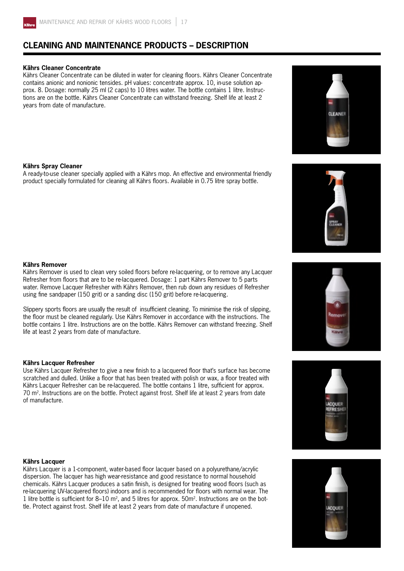

## **CLEANING AND MAINTENANCE PRODUCTS – DESCRIPTION**

#### **Kährs Cleaner Concentrate**

Kährs Cleaner Concentrate can be diluted in water for cleaning floors. Kährs Cleaner Concentrate contains anionic and nonionic tensides. pH values: concentrate approx. 10, in-use solution approx. 8. Dosage: normally 25 ml (2 caps) to 10 litres water. The bottle contains 1 litre. Instructions are on the bottle. Kährs Cleaner Concentrate can withstand freezing. Shelf life at least 2 years from date of manufacture.

#### **Kährs Spray Cleaner**

A ready-to-use cleaner specially applied with a Kährs mop. An effective and environmental friendly product specially formulated for cleaning all Kährs floors. Available in 0.75 litre spray bottle.

#### **Kährs Remover**

Kährs Remover is used to clean very soiled floors before re-lacquering, or to remove any Lacquer Refresher from floors that are to be re-lacquered. Dosage: 1 part Kährs Remover to 5 parts water. Remove Lacquer Refresher with Kährs Remover, then rub down any residues of Refresher using fine sandpaper (150 grit) or a sanding disc (150 grit) before re-lacquering.

Slippery sports floors are usually the result of insufficient cleaning. To minimise the risk of slipping, the floor must be cleaned regularly. Use Kährs Remover in accordance with the instructions. The bottle contains 1 litre. Instructions are on the bottle. Kährs Remover can withstand freezing. Shelf life at least 2 years from date of manufacture.

#### **Kährs Lacquer Refresher**

Use Kährs Lacquer Refresher to give a new finish to a lacquered floor that's surface has become scratched and dulled. Unlike a floor that has been treated with polish or wax, a floor treated with Kährs Lacquer Refresher can be re-lacquered. The bottle contains 1 litre, sufficient for approx. 70 m2. Instructions are on the bottle. Protect against frost. Shelf life at least 2 years from date of manufacture.



Kährs Lacquer is a 1-component, water-based floor lacquer based on a polyurethane/acrylic dispersion. The lacquer has high wear-resistance and good resistance to normal household chemicals. Kährs Lacquer produces a satin finish, is designed for treating wood floors (such as re-lacquering UV-lacquered floors) indoors and is recommended for floors with normal wear. The 1 litre bottle is sufficient for 8–10  $m^2$ , and 5 litres for approx.  $50m^2$ . Instructions are on the bottle. Protect against frost. Shelf life at least 2 years from date of manufacture if unopened.









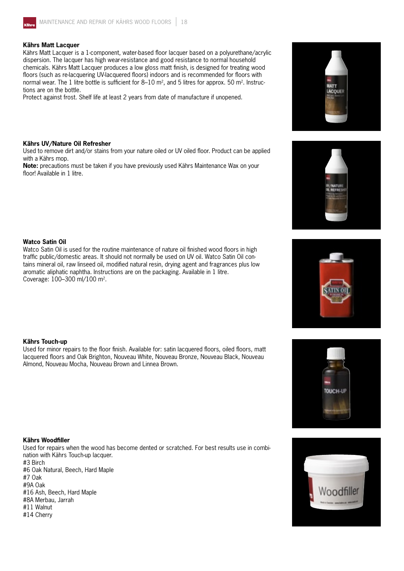

#### **Kährs Matt Lacquer**

Kährs Matt Lacquer is a 1-component, water-based floor lacquer based on a polyurethane/acrylic dispersion. The lacquer has high wear-resistance and good resistance to normal household chemicals. Kährs Matt Lacquer produces a low gloss matt finish, is designed for treating wood floors (such as re-lacquering UV-lacquered floors) indoors and is recommended for floors with normal wear. The 1 litre bottle is sufficient for  $8-10$  m<sup>2</sup>, and 5 litres for approx. 50 m<sup>2</sup>. Instructions are on the bottle.

Protect against frost. Shelf life at least 2 years from date of manufacture if unopened.

#### **Kährs UV/Nature Oil Refresher**

Used to remove dirt and/or stains from your nature oiled or UV oiled floor. Product can be applied with a Kährs mop.

**Note:** precautions must be taken if you have previously used Kährs Maintenance Wax on your floor! Available in 1 litre.



Watco Satin Oil is used for the routine maintenance of nature oil finished wood floors in high traffic public/domestic areas. It should not normally be used on UV oil. Watco Satin Oil contains mineral oil, raw linseed oil, modified natural resin, drying agent and fragrances plus low aromatic aliphatic naphtha. Instructions are on the packaging. Available in 1 litre. Coverage: 100–300 ml/100 m2.

#### **Kährs Touch-up**

Used for minor repairs to the floor finish. Available for: satin lacquered floors, oiled floors, matt lacquered floors and Oak Brighton, Nouveau White, Nouveau Bronze, Nouveau Black, Nouveau Almond, Nouveau Mocha, Nouveau Brown and Linnea Brown.

#### **Kährs Woodfiller**

Used for repairs when the wood has become dented or scratched. For best results use in combination with Kährs Touch-up lacquer. #3 Birch #6 Oak Natural, Beech, Hard Maple #7 Oak #9A Oak #16 Ash, Beech, Hard Maple #8A Merbau, Jarrah #11 Walnut #14 Cherry









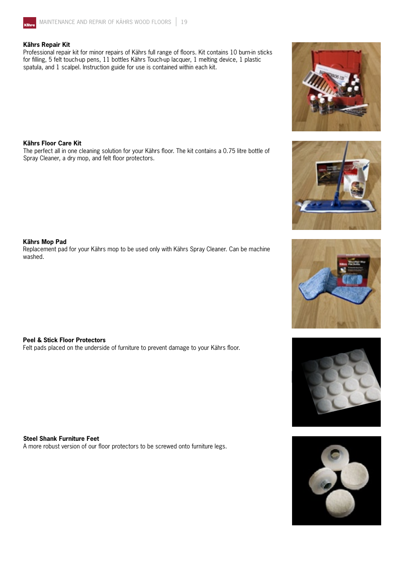

#### **Kährs Repair Kit**

Professional repair kit for minor repairs of Kährs full range of floors. Kit contains 10 burn-in sticks for filling, 5 felt touch-up pens, 11 bottles Kährs Touch-up lacquer, 1 melting device, 1 plastic spatula, and 1 scalpel. Instruction guide for use is contained within each kit.

#### **Kährs Floor Care Kit**

The perfect all in one cleaning solution for your Kährs floor. The kit contains a 0.75 litre bottle of Spray Cleaner, a dry mop, and felt floor protectors.

#### **Kährs Mop Pad**

Replacement pad for your Kährs mop to be used only with Kährs Spray Cleaner. Can be machine washed.

#### **Peel & Stick Floor Protectors**

Felt pads placed on the underside of furniture to prevent damage to your Kährs floor.

**Steel Shank Furniture Feet**

A more robust version of our floor protectors to be screwed onto furniture legs.









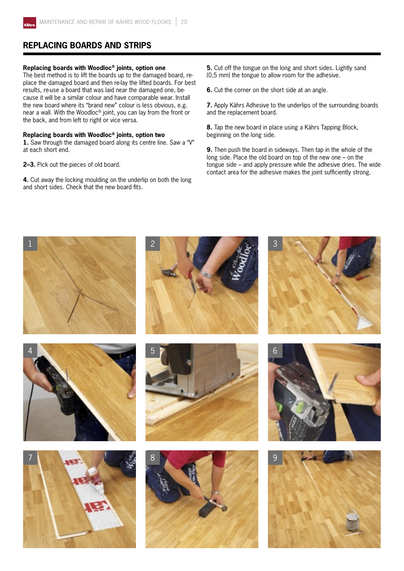

## **REPLACING BOARDS AND STRIPS**

#### **Replacing boards with Woodloc® joints, option one**

The best method is to lift the boards up to the damaged board, replace the damaged board and then re-lay the lifted boards. For best results, re-use a board that was laid near the damaged one, because it will be a similar colour and have comparable wear. Install the new board where its "brand new" colour is less obvious, e.g. near a wall. With the Woodloc® joint, you can lay from the front or the back, and from left to right or vice versa.

#### **Replacing boards with Woodloc® joints, option two**

**1.** Saw through the damaged board along its centre line. Saw a "V" at each short end.

**2–3.** Pick out the pieces of old board.

**4.** Cut away the locking moulding on the underlip on both the long and short sides. Check that the new board fits.

**5.** Cut off the tongue on the long and short sides. Lightly sand (0,5 mm) the tongue to allow room for the adhesive.

**6.** Cut the corner on the short side at an angle.

**7.** Apply Kährs Adhesive to the underlips of the surrounding boards and the replacement board.

**8.** Tap the new board in place using a Kährs Tapping Block, beginning on the long side.

**9.** Then push the board in sideways. Then tap in the whole of the long side. Place the old board on top of the new one – on the tongue side – and apply pressure while the adhesive dries. The wide contact area for the adhesive makes the joint sufficiently strong.

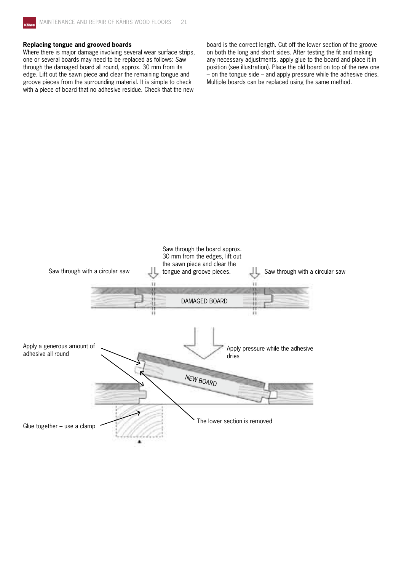#### **Replacing tongue and grooved boards**

Where there is major damage involving several wear surface strips, one or several boards may need to be replaced as follows: Saw through the damaged board all round, approx. 30 mm from its edge. Lift out the sawn piece and clear the remaining tongue and groove pieces from the surrounding material. It is simple to check with a piece of board that no adhesive residue. Check that the new

board is the correct length. Cut off the lower section of the groove on both the long and short sides. After testing the fit and making any necessary adjustments, apply glue to the board and place it in position (see illustration). Place the old board on top of the new one – on the tongue side – and apply pressure while the adhesive dries. Multiple boards can be replaced using the same method.